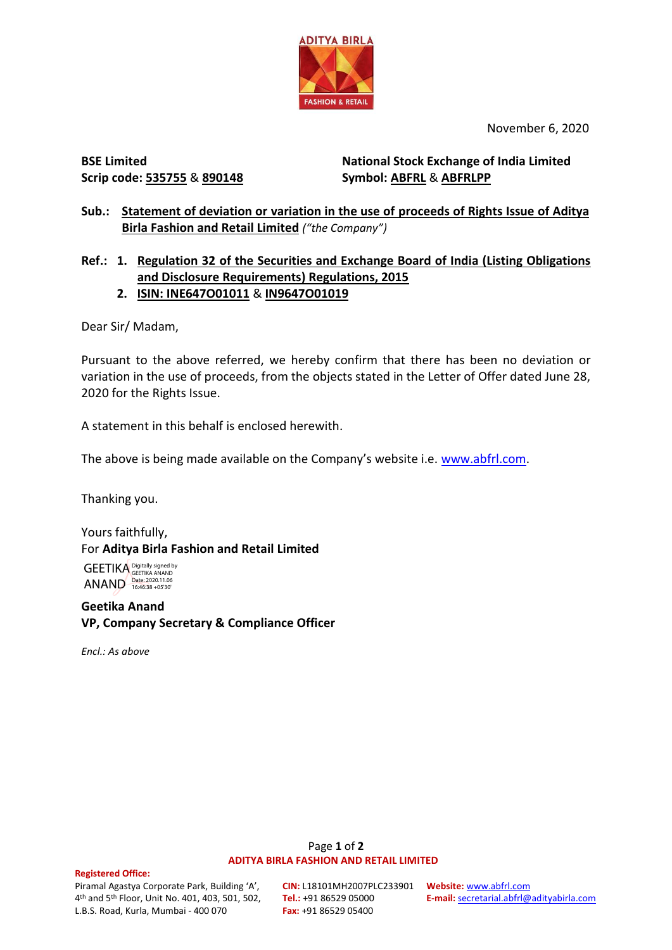

November 6, 2020

**BSE Limited Scrip code: 535755** & **890148**

**National Stock Exchange of India Limited Symbol: ABFRL** & **ABFRLPP**

**Sub.: Statement of deviation or variation in the use of proceeds of Rights Issue of Aditya Birla Fashion and Retail Limited** *("the Company")*

# **Ref.: 1. Regulation 32 of the Securities and Exchange Board of India (Listing Obligations and Disclosure Requirements) Regulations, 2015 2. ISIN: INE647O01011** & **IN9647O01019**

Dear Sir/ Madam,

Pursuant to the above referred, we hereby confirm that there has been no deviation or variation in the use of proceeds, from the objects stated in the Letter of Offer dated June 28, 2020 for the Rights Issue.

A statement in this behalf is enclosed herewith.

The above is being made available on the Company's website i.e. [www.abfrl.com.](http://www.abfrl.com/)

Thanking you.

Yours faithfully, For **Aditya Birla Fashion and Retail Limited**

GEETIKA ANAND Digitally signed by GEETIKA ANAND Date: 2020.11.06 16:46:38 +05'30'

**Geetika Anand VP, Company Secretary & Compliance Officer**

*Encl.: As above*

#### Page **1** of **2 ADITYA BIRLA FASHION AND RETAIL LIMITED**

#### **Registered Office:**